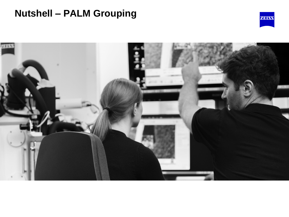## **Nutshell – PALM Grouping**



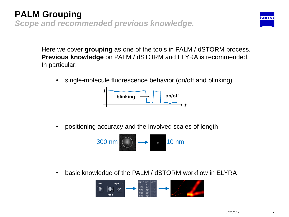### **PALM Grouping** *Scope and recommended previous knowledge.*



Here we cover **grouping** as one of the tools in PALM / dSTORM process. **Previous knowledge** on PALM / dSTORM and ELYRA is recommended. In particular:

• single-molecule fluorescence behavior (on/off and blinking)



• positioning accuracy and the involved scales of length



• basic knowledge of the PALM / dSTORM workflow in ELYRA

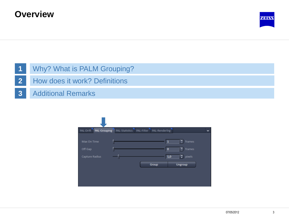### **Overview**



#### **1** Why? What is PALM Grouping?

- **2** How does it work? Definitions
- **3** Additional Remarks

| PAL-Drift<br><b>PAL-Grouping</b> | PAL-Statistics | PAL-Filter<br>PAL-Rendering |                             |  |
|----------------------------------|----------------|-----------------------------|-----------------------------|--|
|                                  |                |                             |                             |  |
| Max On Time                      |                |                             | ÷<br>frames<br>$\mathbf{1}$ |  |
| Off Gap                          |                |                             | е<br>frames<br>$\bf{0}$     |  |
| Capture Radius                   |                |                             | ÷<br>pixels<br>1,0          |  |
|                                  |                | Group                       | Ungroup                     |  |
|                                  |                |                             |                             |  |
|                                  |                |                             |                             |  |
|                                  |                |                             |                             |  |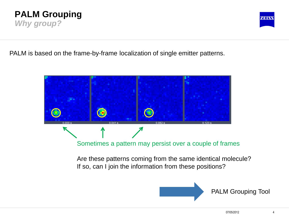#### **PALM Grouping** *Why group?*



PALM is based on the frame-by-frame localization of single emitter patterns.



Are these patterns coming from the same identical molecule? If so, can I join the information from these positions?



PALM Grouping Tool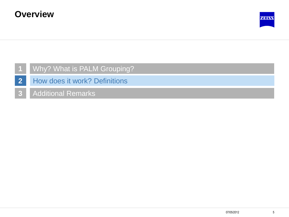

#### **1** Why? What is PALM Grouping?

- **2** How does it work? Definitions
- **3** Additional Remarks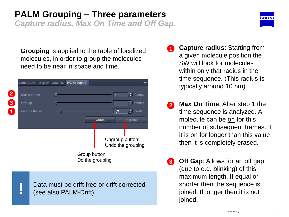## **PALM Grouping – Three parameters**

*Capture radius, Max On Time and Off Gap.*



| <b>Dimensions</b> | Display | Graphics | <b>PAL-Grouping</b>              |  |       |          |                                      |
|-------------------|---------|----------|----------------------------------|--|-------|----------|--------------------------------------|
| Max On Time       |         |          |                                  |  |       | 4        | ÷<br>frames                          |
| Off Gap           |         |          |                                  |  |       | $\bf{0}$ | frames                               |
| Capture Radius    |         |          |                                  |  |       | 0,9      | ÷<br>pixels                          |
|                   |         |          |                                  |  | Group |          | Ungroup                              |
|                   |         |          |                                  |  |       |          | Ungroup button:<br>Undo the grouping |
|                   |         |          | Group button:<br>Do the grouping |  |       |          |                                      |
|                   |         |          |                                  |  |       |          |                                      |

Data must be drift free or drift corrected (see also PALM-Drift)

**!**

- **1 Capture radius**: Starting from a given molecule position the SW will look for molecules within only that radius in the time sequence. (This radius is typically around 10 nm).
- **Max On Time**: After step 1 the time sequence is analyzed. A molecule can be on for this number of subsequent frames. If it is on for longer than this value then it is completely erased. **2**
- **Off Gap**: Allows for an off gap (due to e.g. blinking) of this maximum length. If equal or shorter then the sequence is joined. If longer then it is not joined. **3**

**ZENKY**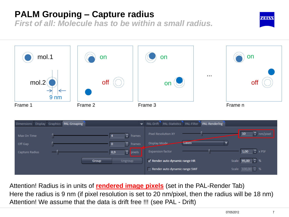## **PALM Grouping – Capture radius**

*First of all: Molecule has to be within a small radius.*



Attention! Radius is in units of **rendered image pixels** (set in the PAL-Render Tab) Here the radius is 9 nm (if pixel resolution is set to 20 nm/pixel, then the radius will be 18 nm) Attention! We assume that the data is drift free !!! (see PAL - Drift)

Render auto dynamic range SWF

Scale  $100,00$   $\div$  %

**ZEN KW**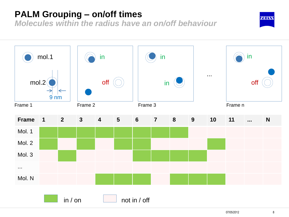## **PALM Grouping – on/off times**

*Molecules within the radius have an on/off behaviour*

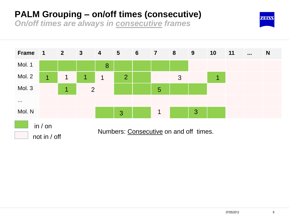## **PALM Grouping – on/off times (consecutive)**

*On/off times are always in consecutive frames*



**ZEINS**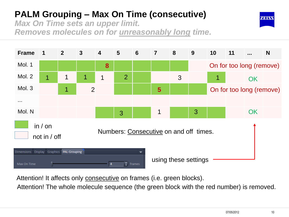*Max On Time sets an upper limit. Removes molecules on for unreasonably long time.*





Attention! It affects only consecutive on frames (i.e. green blocks).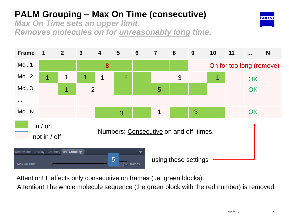*Max On Time sets an upper limit. Removes molecules on for unreasonably long time.*





Attention! It affects only consecutive on frames (i.e. green blocks).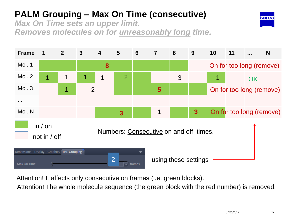*Max On Time sets an upper limit. Removes molecules on for unreasonably long time.*





Attention! It affects only consecutive on frames (i.e. green blocks).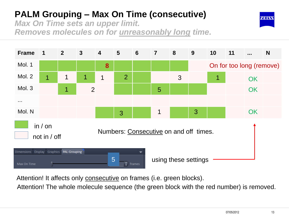*Max On Time sets an upper limit. Removes molecules on for unreasonably long time.*





Attention! It affects only consecutive on frames (i.e. green blocks).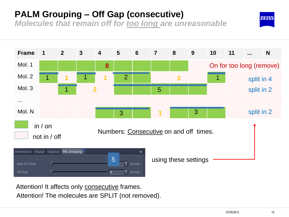## **PALM Grouping – Off Gap (consecutive)**

*Molecules that remain off for too long are unreasonable*



Attention! It affects only consecutive frames. Attention! The molecules are SPLIT (not removed).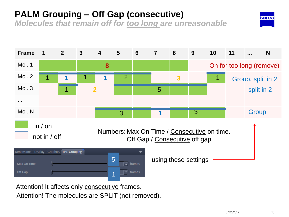## **PALM Grouping – Off Gap (consecutive)**

*Molecules that remain off for too long are unreasonable*



Attention! It affects only consecutive frames. Attention! The molecules are SPLIT (not removed).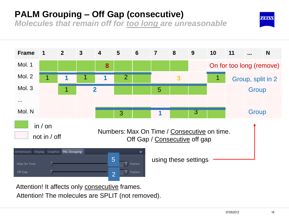## **PALM Grouping – Off Gap (consecutive)**

*Molecules that remain off for too long are unreasonable*



Attention! It affects only consecutive frames. Attention! The molecules are SPLIT (not removed).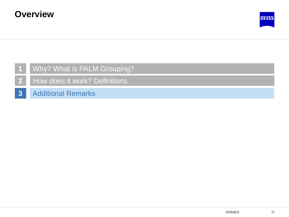

#### **1** Why? What is PALM Grouping?

- **2** How does it work? Definitions
- **3** Additional Remarks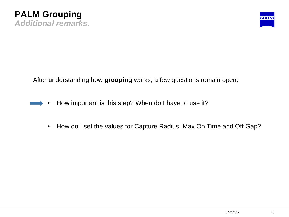

After understanding how **grouping** works, a few questions remain open:

- How important is this step? When do I have to use it?
	- How do I set the values for Capture Radius, Max On Time and Off Gap?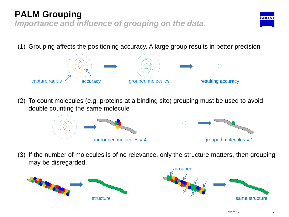## **PALM Grouping**

*Importance and influence of grouping on the data.*

(1) Grouping affects the positioning accuracy. A large group results in better precision



(2) To count molecules (e.g. proteins at a binding site) grouping must be used to avoid double counting the same molecule





(3) If the number of molecules is of no relevance, only the structure matters, then grouping may be disregarded.





**ZEN KW**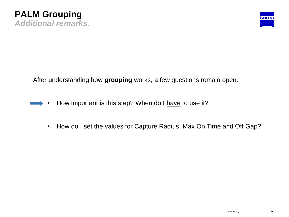

After understanding how **grouping** works, a few questions remain open:

- How important is this step? When do I have to use it?
	- How do I set the values for Capture Radius, Max On Time and Off Gap?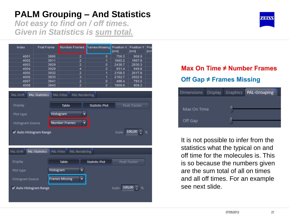*Not easy to find on / off times. Given in Statistics is sum total.*

| Index | <b>First Frame</b> | Number Frames Frames Missing Position X   Position Y   Pre |              | [nm]   | [nm]   | [nr |
|-------|--------------------|------------------------------------------------------------|--------------|--------|--------|-----|
| 4001  | 3895               | 2                                                          | 0            | 756.3  | 906.9  |     |
| 4002  | 3911               | 2                                                          | 1            | 1665.2 | 1867.9 |     |
| 4003  | 3929               | 2                                                          | $\mathbf{0}$ | 2438.7 | 2830.3 |     |
| 4004  | 3929               | 4                                                          | 2            | 931.4  | 949.8  |     |
| 4005  | 3932               | 2                                                          | 1            | 2158.5 | 2617.8 |     |
| 4006  | 3933               | 3                                                          | 1            | 2162.7 | 2602.6 |     |
| 4007  | 3941               | 2                                                          | $\mathbf{0}$ | 498.4  | 793.5  |     |
| 4008  | 3943               | 2                                                          | 2            | 1809.6 | 909.3  |     |
|       |                    |                                                            |              |        |        |     |



#### **Max On Time ≠ Number Frames Off Gap ≠ Frames Missing**

| <b>Dimensions</b> | <b>Display</b> | Graphics | <b>PAL-Grouping</b> |
|-------------------|----------------|----------|---------------------|
|                   |                |          |                     |
| Max On Time       |                |          |                     |
| Off Gap           |                |          |                     |
|                   |                |          |                     |

It is not possible to infer from the statistics what the typical on and off time for the molecules is. This is so because the numbers given are the sum total of all on times and all off times. For an example see next slide.

**ZENKY**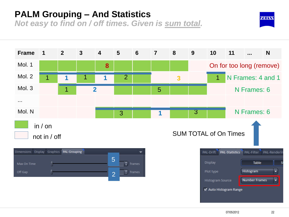*Not easy to find on / off times. Given is sum total.*

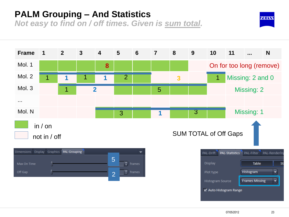*Not easy to find on / off times. Given is sum total.*

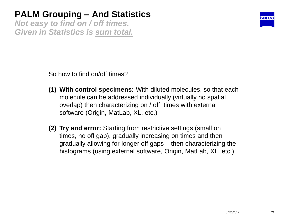*Not easy to find on / off times. Given in Statistics is sum total.*



So how to find on/off times?

- **(1) With control specimens:** With diluted molecules, so that each molecule can be addressed individually (virtually no spatial overlap) then characterizing on / off times with external software (Origin, MatLab, XL, etc.)
- **(2) Try and error:** Starting from restrictive settings (small on times, no off gap), gradually increasing on times and then gradually allowing for longer off gaps – then characterizing the histograms (using external software, Origin, MatLab, XL, etc.)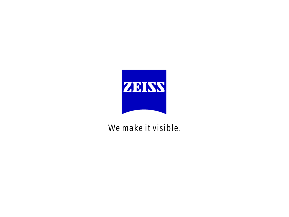

## We make it visible.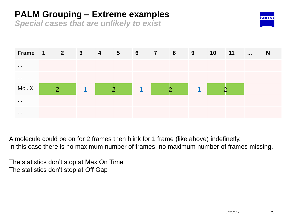## **PALM Grouping – Extreme examples**

*Special cases that are unlikely to exist*





A molecule could be on for 2 frames then blink for 1 frame (like above) indefinetly. In this case there is no maximum number of frames, no maximum number of frames missing.

The statistics don't stop at Max On Time The statistics don't stop at Off Gap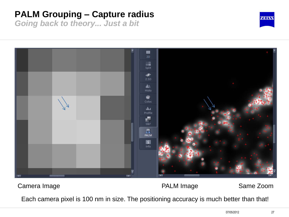## **PALM Grouping – Capture radius**

*Going back to theory... Just a bit*





#### Camera Image **Camera Image Camera Image Camera Image Same Zoom**

Each camera pixel is 100 nm in size. The positioning accuracy is much better than that!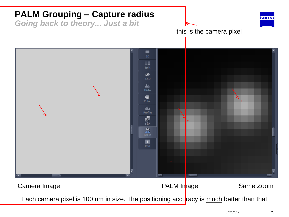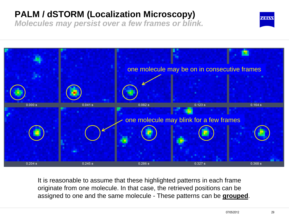## **PALM / dSTORM (Localization Microscopy)**

*Molecules may persist over a few frames or blink.*



It is reasonable to assume that these highlighted patterns in each frame originate from one molecule. In that case, the retrieved positions can be assigned to one and the same molecule - These patterns can be **grouped**.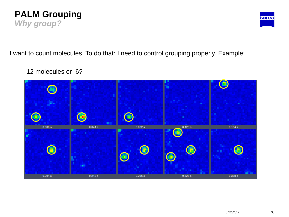



I want to count molecules. To do that: I need to control grouping properly. Example:

12 molecules or 6?